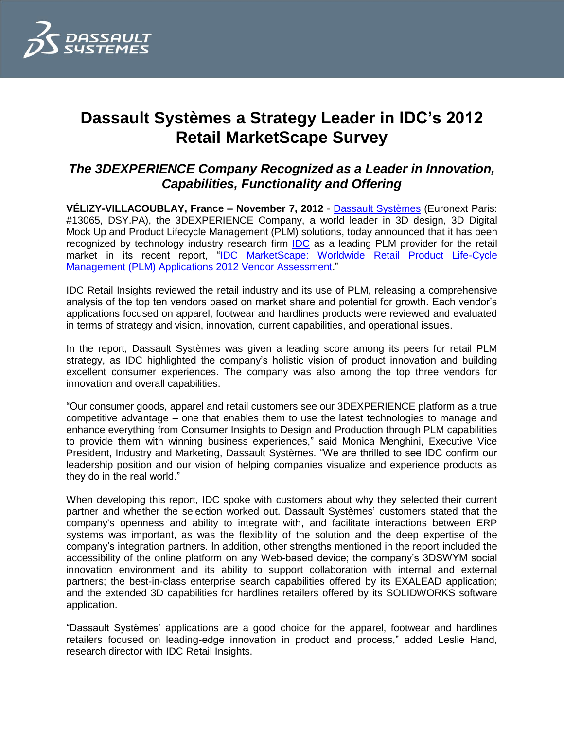

# **Dassault Systèmes a Strategy Leader in IDC's 2012 Retail MarketScape Survey**

# *The 3DEXPERIENCE Company Recognized as a Leader in Innovation, Capabilities, Functionality and Offering*

**VÉLIZY-VILLACOUBLAY, France** *–* **November 7, 2012** - [Dassault Systèmes](http://www.3ds.com/) (Euronext Paris: #13065, DSY.PA), the 3DEXPERIENCE Company, a world leader in 3D design, 3D Digital Mock Up and Product Lifecycle Management (PLM) solutions, today announced that it has been recognized by technology industry research firm [IDC](http://www.idc.com/) as a leading PLM provider for the retail market in its recent report, ["IDC MarketScape: Worldwide Retail Product Life-Cycle](http://www.idc-ri.com/getdoc.jsp?containerId=GRI236445)  [Management \(PLM\) Applications 2012 Vendor Assessment.](http://www.idc-ri.com/getdoc.jsp?containerId=GRI236445)"

IDC Retail Insights reviewed the retail industry and its use of PLM, releasing a comprehensive analysis of the top ten vendors based on market share and potential for growth. Each vendor's applications focused on apparel, footwear and hardlines products were reviewed and evaluated in terms of strategy and vision, innovation, current capabilities, and operational issues.

In the report, Dassault Systèmes was given a leading score among its peers for retail PLM strategy, as IDC highlighted the company's holistic vision of product innovation and building excellent consumer experiences. The company was also among the top three vendors for innovation and overall capabilities.

"Our consumer goods, apparel and retail customers see our 3DEXPERIENCE platform as a true competitive advantage – one that enables them to use the latest technologies to manage and enhance everything from Consumer Insights to Design and Production through PLM capabilities to provide them with winning business experiences," said Monica Menghini, Executive Vice President, Industry and Marketing, Dassault Systèmes. "We are thrilled to see IDC confirm our leadership position and our vision of helping companies visualize and experience products as they do in the real world."

When developing this report, IDC spoke with customers about why they selected their current partner and whether the selection worked out. Dassault Systèmes' customers stated that the company's openness and ability to integrate with, and facilitate interactions between ERP systems was important, as was the flexibility of the solution and the deep expertise of the company's integration partners. In addition, other strengths mentioned in the report included the accessibility of the online platform on any Web-based device; the company's 3DSWYM social innovation environment and its ability to support collaboration with internal and external partners; the best-in-class enterprise search capabilities offered by its EXALEAD application; and the extended 3D capabilities for hardlines retailers offered by its SOLIDWORKS software application.

"Dassault Systèmes' applications are a good choice for the apparel, footwear and hardlines retailers focused on leading-edge innovation in product and process," added Leslie Hand, research director with IDC Retail Insights.